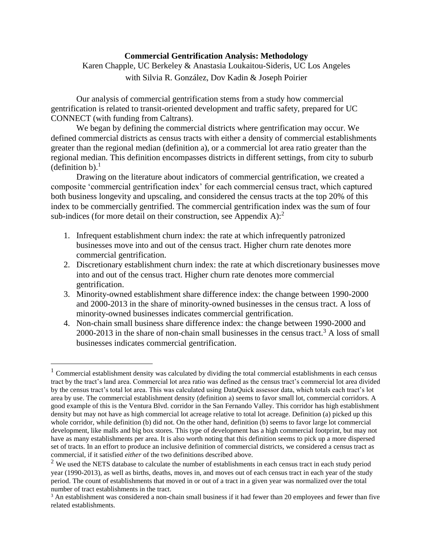## **Commercial Gentrification Analysis: Methodology**

## Karen Chapple, UC Berkeley & Anastasia Loukaitou-Sideris, UC Los Angeles with Silvia R. González, Dov Kadin & Joseph Poirier

Our analysis of commercial gentrification stems from a study how commercial gentrification is related to transit-oriented development and traffic safety, prepared for UC CONNECT (with funding from Caltrans).

We began by defining the commercial districts where gentrification may occur. We defined commercial districts as census tracts with either a density of commercial establishments greater than the regional median (definition a), or a commercial lot area ratio greater than the regional median. This definition encompasses districts in different settings, from city to suburb (definition b). $<sup>1</sup>$ </sup>

Drawing on the literature about indicators of commercial gentrification, we created a composite 'commercial gentrification index' for each commercial census tract, which captured both business longevity and upscaling, and considered the census tracts at the top 20% of this index to be commercially gentrified. The commercial gentrification index was the sum of four sub-indices (for more detail on their construction, see Appendix A): $^2$ 

- 1. Infrequent establishment churn index: the rate at which infrequently patronized businesses move into and out of the census tract. Higher churn rate denotes more commercial gentrification.
- 2. Discretionary establishment churn index: the rate at which discretionary businesses move into and out of the census tract. Higher churn rate denotes more commercial gentrification.
- 3. Minority-owned establishment share difference index: the change between 1990-2000 and 2000-2013 in the share of minority-owned businesses in the census tract. A loss of minority-owned businesses indicates commercial gentrification.
- 4. Non-chain small business share difference index: the change between 1990-2000 and 2000-2013 in the share of non-chain small businesses in the census tract.<sup>3</sup> A loss of small businesses indicates commercial gentrification.

 $\overline{a}$ 

<sup>&</sup>lt;sup>1</sup> Commercial establishment density was calculated by dividing the total commercial establishments in each census tract by the tract's land area. Commercial lot area ratio was defined as the census tract's commercial lot area divided by the census tract's total lot area. This was calculated using DataQuick assessor data, which totals each tract's lot area by use. The commercial establishment density (definition a) seems to favor small lot, commercial corridors. A good example of this is the Ventura Blvd. corridor in the San Fernando Valley. This corridor has high establishment density but may not have as high commercial lot acreage relative to total lot acreage. Definition (a) picked up this whole corridor, while definition (b) did not. On the other hand, definition (b) seems to favor large lot commercial development, like malls and big box stores. This type of development has a high commercial footprint, but may not have as many establishments per area. It is also worth noting that this definition seems to pick up a more dispersed set of tracts. In an effort to produce an inclusive definition of commercial districts, we considered a census tract as commercial, if it satisfied *either* of the two definitions described above.

 $2$  We used the NETS database to calculate the number of establishments in each census tract in each study period year (1990-2013), as well as births, deaths, moves in, and moves out of each census tract in each year of the study period. The count of establishments that moved in or out of a tract in a given year was normalized over the total number of tract establishments in the tract.

<sup>&</sup>lt;sup>3</sup> An establishment was considered a non-chain small business if it had fewer than 20 employees and fewer than five related establishments.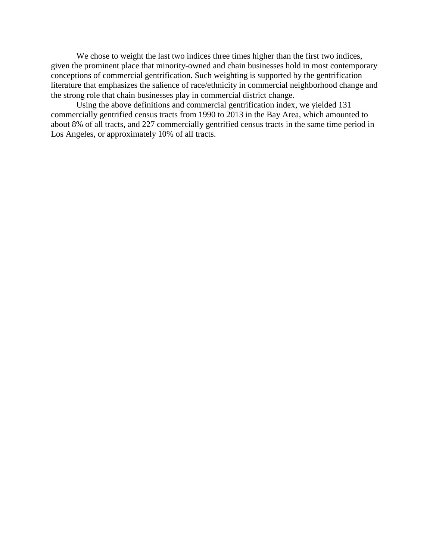We chose to weight the last two indices three times higher than the first two indices, given the prominent place that minority-owned and chain businesses hold in most contemporary conceptions of commercial gentrification. Such weighting is supported by the gentrification literature that emphasizes the salience of race/ethnicity in commercial neighborhood change and the strong role that chain businesses play in commercial district change.

Using the above definitions and commercial gentrification index, we yielded 131 commercially gentrified census tracts from 1990 to 2013 in the Bay Area, which amounted to about 8% of all tracts, and 227 commercially gentrified census tracts in the same time period in Los Angeles, or approximately 10% of all tracts.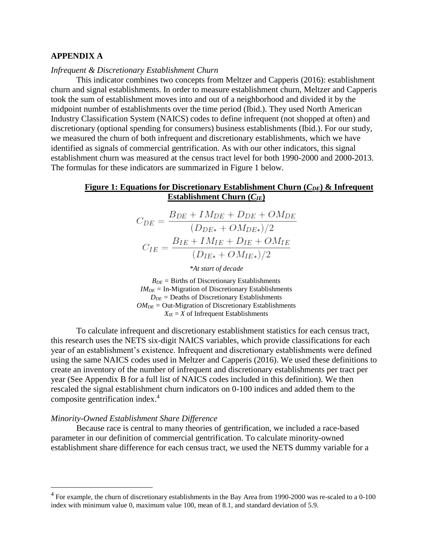## **APPENDIX A**

### *Infrequent & Discretionary Establishment Churn*

This indicator combines two concepts from Meltzer and Capperis (2016): establishment churn and signal establishments. In order to measure establishment churn, Meltzer and Capperis took the sum of establishment moves into and out of a neighborhood and divided it by the midpoint number of establishments over the time period (Ibid.). They used North American Industry Classification System (NAICS) codes to define infrequent (not shopped at often) and discretionary (optional spending for consumers) business establishments (Ibid.). For our study, we measured the churn of both infrequent and discretionary establishments, which we have identified as signals of commercial gentrification. As with our other indicators, this signal establishment churn was measured at the census tract level for both 1990-2000 and 2000-2013. The formulas for these indicators are summarized in Figure 1 below.

## **Figure 1: Equations for Discretionary Establishment Churn (***CDE***) & Infrequent Establishment Churn (***CIE***)**

$$
C_{DE} = \frac{B_{DE} + IM_{DE} + D_{DE} + OM_{DE}}{(D_{DE*} + OM_{DE*})/2}
$$

$$
C_{IE} = \frac{B_{IE} + IM_{IE} + D_{IE} + OM_{IE}}{(D_{IE*} + OM_{IE*})/2}
$$

*\*At start of decade*

 $B_{DE}$  = Births of Discretionary Establishments  $IM<sub>DE</sub>$  = In-Migration of Discretionary Establishments  $D_{DE}$  = Deaths of Discretionary Establishments  $OM<sub>DE</sub>$  = Out-Migration of Discretionary Establishments  $X_{IF} = X$  of Infrequent Establishments

To calculate infrequent and discretionary establishment statistics for each census tract, this research uses the NETS six-digit NAICS variables, which provide classifications for each year of an establishment's existence. Infrequent and discretionary establishments were defined using the same NAICS codes used in Meltzer and Capperis (2016). We used these definitions to create an inventory of the number of infrequent and discretionary establishments per tract per year (See Appendix B for a full list of NAICS codes included in this definition). We then rescaled the signal establishment churn indicators on 0-100 indices and added them to the composite gentrification index.<sup>4</sup>

#### *Minority-Owned Establishment Share Difference*

 $\overline{a}$ 

Because race is central to many theories of gentrification, we included a race-based parameter in our definition of commercial gentrification. To calculate minority-owned establishment share difference for each census tract, we used the NETS dummy variable for a

 $4$  For example, the churn of discretionary establishments in the Bay Area from 1990-2000 was re-scaled to a 0-100 index with minimum value 0, maximum value 100, mean of 8.1, and standard deviation of 5.9.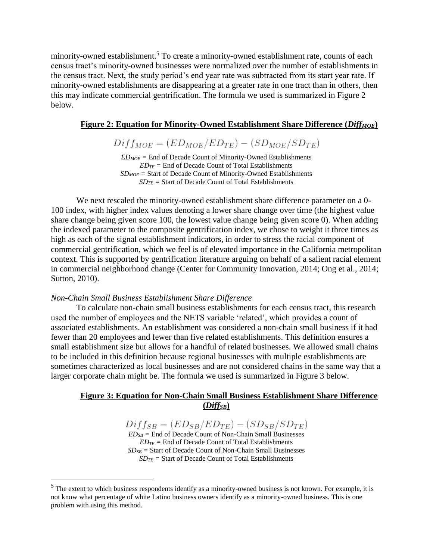minority-owned establishment.<sup>5</sup> To create a minority-owned establishment rate, counts of each census tract's minority-owned businesses were normalized over the number of establishments in the census tract. Next, the study period's end year rate was subtracted from its start year rate. If minority-owned establishments are disappearing at a greater rate in one tract than in others, then this may indicate commercial gentrification. The formula we used is summarized in Figure 2 below.

## **Figure 2: Equation for Minority-Owned Establishment Share Difference (***DiffMOE***)**

 $Diff_{MOE} = (ED_{MOE}/ED_{TE}) - (SD_{MOE}/SD_{TE})$ 

 $ED_{MOE}$  = End of Decade Count of Minority-Owned Establishments  $ED_{TE}$  = End of Decade Count of Total Establishments *SDMOE =* Start of Decade Count of Minority-Owned Establishments  $SD_{TE}$  = Start of Decade Count of Total Establishments

We next rescaled the minority-owned establishment share difference parameter on a 0- 100 index, with higher index values denoting a lower share change over time (the highest value share change being given score 100, the lowest value change being given score 0). When adding the indexed parameter to the composite gentrification index, we chose to weight it three times as high as each of the signal establishment indicators, in order to stress the racial component of commercial gentrification, which we feel is of elevated importance in the California metropolitan context. This is supported by gentrification literature arguing on behalf of a salient racial element in commercial neighborhood change (Center for Community Innovation, 2014; Ong et al., 2014; Sutton, 2010).

#### *Non-Chain Small Business Establishment Share Difference*

 $\overline{a}$ 

To calculate non-chain small business establishments for each census tract, this research used the number of employees and the NETS variable 'related', which provides a count of associated establishments. An establishment was considered a non-chain small business if it had fewer than 20 employees and fewer than five related establishments. This definition ensures a small establishment size but allows for a handful of related businesses. We allowed small chains to be included in this definition because regional businesses with multiple establishments are sometimes characterized as local businesses and are not considered chains in the same way that a larger corporate chain might be. The formula we used is summarized in Figure 3 below.

## **Figure 3: Equation for Non-Chain Small Business Establishment Share Difference (***DiffSB***)**

 $Diff_{SB} = (ED_{SB}/ED_{TE}) - (SD_{SB}/SD_{TE})$  $ED_{SB}$  = End of Decade Count of Non-Chain Small Businesses  $ED_{TE}$  = End of Decade Count of Total Establishments *SDSB =* Start of Decade Count of Non-Chain Small Businesses *SDTE =* Start of Decade Count of Total Establishments

 $<sup>5</sup>$  The extent to which business respondents identify as a minority-owned business is not known. For example, it is</sup> not know what percentage of white Latino business owners identify as a minority-owned business. This is one problem with using this method.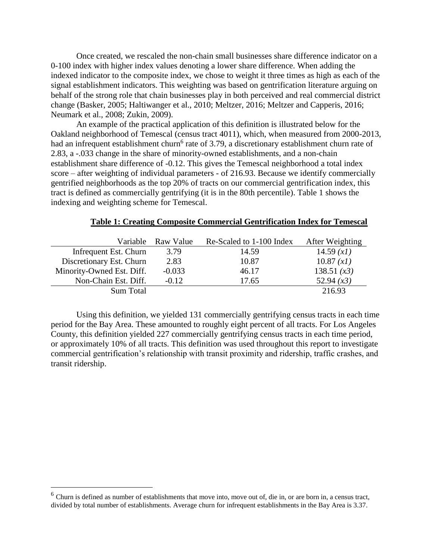Once created, we rescaled the non-chain small businesses share difference indicator on a 0-100 index with higher index values denoting a lower share difference. When adding the indexed indicator to the composite index, we chose to weight it three times as high as each of the signal establishment indicators. This weighting was based on gentrification literature arguing on behalf of the strong role that chain businesses play in both perceived and real commercial district change (Basker, 2005; Haltiwanger et al., 2010; Meltzer, 2016; Meltzer and Capperis, 2016; Neumark et al., 2008; Zukin, 2009).

An example of the practical application of this definition is illustrated below for the Oakland neighborhood of Temescal (census tract 4011), which, when measured from 2000-2013, had an infrequent establishment churn<sup>6</sup> rate of 3.79, a discretionary establishment churn rate of 2.83, a -.033 change in the share of minority-owned establishments, and a non-chain establishment share difference of -0.12. This gives the Temescal neighborhood a total index score – after weighting of individual parameters - of 216.93. Because we identify commercially gentrified neighborhoods as the top 20% of tracts on our commercial gentrification index, this tract is defined as commercially gentrifying (it is in the 80th percentile). Table 1 shows the indexing and weighting scheme for Temescal.

### **Table 1: Creating Composite Commercial Gentrification Index for Temescal**

|                           | Variable Raw Value | Re-Scaled to 1-100 Index | After Weighting |
|---------------------------|--------------------|--------------------------|-----------------|
| Infrequent Est. Churn     | 3.79               | 14.59                    | 14.59(x1)       |
| Discretionary Est. Churn  | 2.83               | 10.87                    | 10.87 (xI)      |
| Minority-Owned Est. Diff. | $-0.033$           | 46.17                    | 138.51 $(x3)$   |
| Non-Chain Est. Diff.      | $-0.12$            | 17.65                    | 52.94 $(x3)$    |
| Sum Total                 |                    |                          | 216.93          |

Using this definition, we yielded 131 commercially gentrifying census tracts in each time period for the Bay Area. These amounted to roughly eight percent of all tracts. For Los Angeles County, this definition yielded 227 commercially gentrifying census tracts in each time period, or approximately 10% of all tracts. This definition was used throughout this report to investigate commercial gentrification's relationship with transit proximity and ridership, traffic crashes, and transit ridership.

 $\overline{a}$ 

 $6$  Churn is defined as number of establishments that move into, move out of, die in, or are born in, a census tract, divided by total number of establishments. Average churn for infrequent establishments in the Bay Area is 3.37.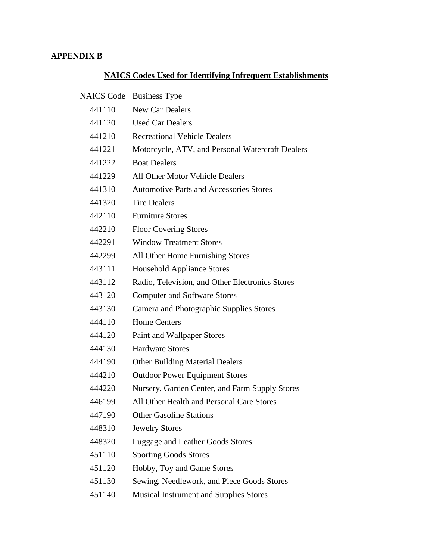# **APPENDIX B**

# **NAICS Codes Used for Identifying Infrequent Establishments**

| <b>NAICS Code</b> | <b>Business Type</b>                             |
|-------------------|--------------------------------------------------|
| 441110            | <b>New Car Dealers</b>                           |
| 441120            | <b>Used Car Dealers</b>                          |
| 441210            | <b>Recreational Vehicle Dealers</b>              |
| 441221            | Motorcycle, ATV, and Personal Watercraft Dealers |
| 441222            | <b>Boat Dealers</b>                              |
| 441229            | All Other Motor Vehicle Dealers                  |
| 441310            | <b>Automotive Parts and Accessories Stores</b>   |
| 441320            | <b>Tire Dealers</b>                              |
| 442110            | <b>Furniture Stores</b>                          |
| 442210            | <b>Floor Covering Stores</b>                     |
| 442291            | <b>Window Treatment Stores</b>                   |
| 442299            | All Other Home Furnishing Stores                 |
| 443111            | <b>Household Appliance Stores</b>                |
| 443112            | Radio, Television, and Other Electronics Stores  |
| 443120            | <b>Computer and Software Stores</b>              |
| 443130            | Camera and Photographic Supplies Stores          |
| 444110            | <b>Home Centers</b>                              |
| 444120            | Paint and Wallpaper Stores                       |
| 444130            | <b>Hardware Stores</b>                           |
| 444190            | <b>Other Building Material Dealers</b>           |
| 444210            | <b>Outdoor Power Equipment Stores</b>            |
| 444220            | Nursery, Garden Center, and Farm Supply Stores   |
| 446199            | All Other Health and Personal Care Stores        |
| 447190            | <b>Other Gasoline Stations</b>                   |
| 448310            | <b>Jewelry Stores</b>                            |
| 448320            | Luggage and Leather Goods Stores                 |
| 451110            | <b>Sporting Goods Stores</b>                     |
| 451120            | Hobby, Toy and Game Stores                       |
| 451130            | Sewing, Needlework, and Piece Goods Stores       |
| 451140            | <b>Musical Instrument and Supplies Stores</b>    |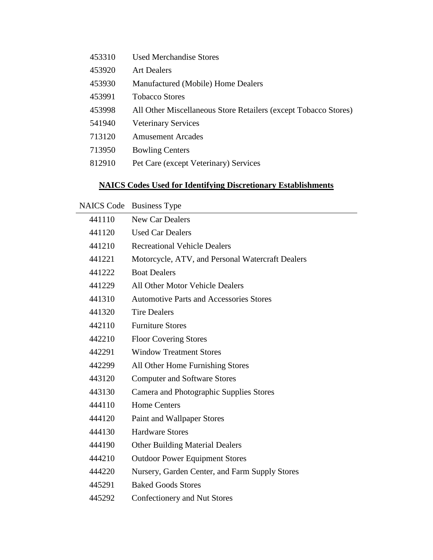Used Merchandise Stores Art Dealers Manufactured (Mobile) Home Dealers Tobacco Stores All Other Miscellaneous Store Retailers (except Tobacco Stores) Veterinary Services Amusement Arcades Bowling Centers Pet Care (except Veterinary) Services

## **NAICS Codes Used for Identifying Discretionary Establishments**

|  | NAICS Code Business Type |
|--|--------------------------|
|--|--------------------------|

| 441110 | <b>New Car Dealers</b>                           |
|--------|--------------------------------------------------|
| 441120 | <b>Used Car Dealers</b>                          |
| 441210 | <b>Recreational Vehicle Dealers</b>              |
| 441221 | Motorcycle, ATV, and Personal Watercraft Dealers |
| 441222 | <b>Boat Dealers</b>                              |
| 441229 | <b>All Other Motor Vehicle Dealers</b>           |
| 441310 | <b>Automotive Parts and Accessories Stores</b>   |
| 441320 | <b>Tire Dealers</b>                              |
| 442110 | <b>Furniture Stores</b>                          |
| 442210 | <b>Floor Covering Stores</b>                     |
| 442291 | <b>Window Treatment Stores</b>                   |
| 442299 | All Other Home Furnishing Stores                 |
| 443120 | <b>Computer and Software Stores</b>              |
| 443130 | Camera and Photographic Supplies Stores          |
| 444110 | <b>Home Centers</b>                              |
| 444120 | Paint and Wallpaper Stores                       |
| 444130 | <b>Hardware Stores</b>                           |
| 444190 | <b>Other Building Material Dealers</b>           |
| 444210 | <b>Outdoor Power Equipment Stores</b>            |
| 444220 | Nursery, Garden Center, and Farm Supply Stores   |
| 445291 | <b>Baked Goods Stores</b>                        |
| 445292 | Confectionery and Nut Stores                     |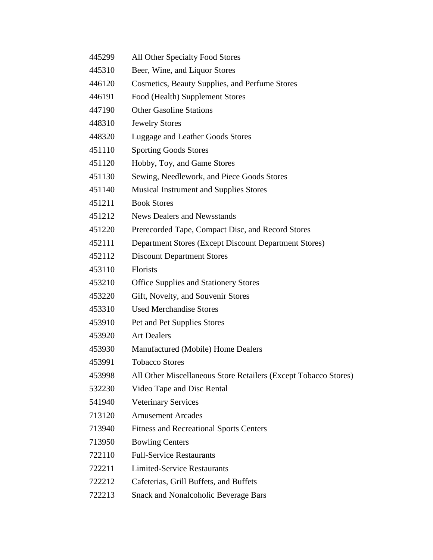- All Other Specialty Food Stores
- Beer, Wine, and Liquor Stores
- Cosmetics, Beauty Supplies, and Perfume Stores
- Food (Health) Supplement Stores
- Other Gasoline Stations
- Jewelry Stores
- Luggage and Leather Goods Stores
- Sporting Goods Stores
- Hobby, Toy, and Game Stores
- Sewing, Needlework, and Piece Goods Stores
- Musical Instrument and Supplies Stores
- Book Stores
- News Dealers and Newsstands
- Prerecorded Tape, Compact Disc, and Record Stores
- Department Stores (Except Discount Department Stores)
- Discount Department Stores
- Florists
- Office Supplies and Stationery Stores
- Gift, Novelty, and Souvenir Stores
- Used Merchandise Stores
- Pet and Pet Supplies Stores
- Art Dealers
- Manufactured (Mobile) Home Dealers
- Tobacco Stores
- All Other Miscellaneous Store Retailers (Except Tobacco Stores)
- Video Tape and Disc Rental
- Veterinary Services
- Amusement Arcades
- Fitness and Recreational Sports Centers
- Bowling Centers
- Full-Service Restaurants
- Limited-Service Restaurants
- Cafeterias, Grill Buffets, and Buffets
- Snack and Nonalcoholic Beverage Bars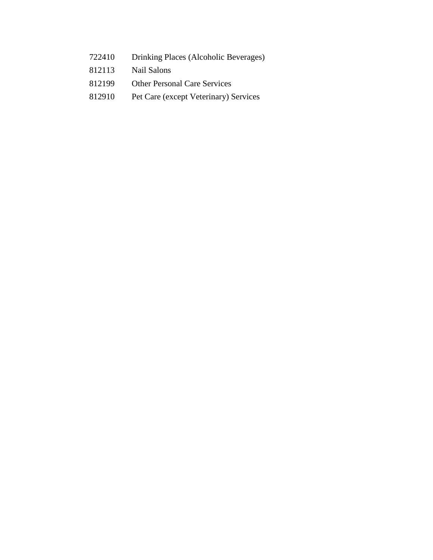- Drinking Places (Alcoholic Beverages)
- Nail Salons
- Other Personal Care Services
- Pet Care (except Veterinary) Services